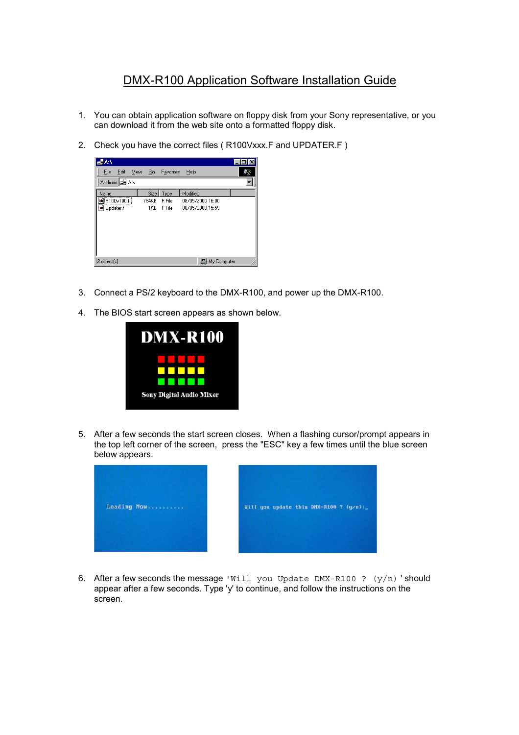## DMX-R100 Application Software Installation Guide

- 1. You can obtain application software on floppy disk from your Sony representative, or you can download it from the web site onto a formatted floppy disk.
- 2. Check you have the correct files ( R100Vxxx.F and UPDATER.F )



- 3. Connect a PS/2 keyboard to the DMX-R100, and power up the DMX-R100.
- 4. The BIOS start screen appears as shown below.



5. After a few seconds the start screen closes. When a flashing cursor/prompt appears in the top left corner of the screen, press the "ESC" key a few times until the blue screen below appears.



6. After a few seconds the message 'Will you Update DMX-R100 ?  $(y/n)$ 'should appear after a few seconds. Type 'y' to continue, and follow the instructions on the screen.